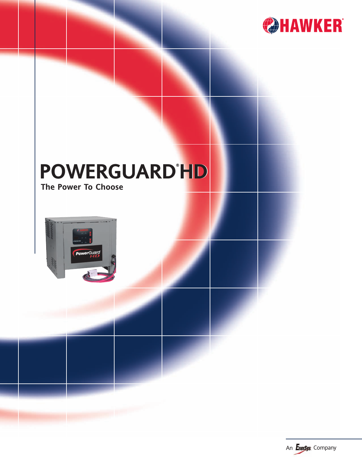

# **POWERGUARD® POWERGUARD HD ® HD**

**The Power To Choose**



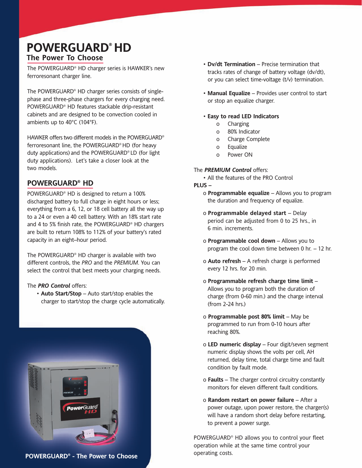# **The Power To Choose POWERGUARD® HD**

The POWERGUARD® HD charger series is HAWKER's new ferroresonant charger line.

The POWERGUARD® HD charger series consists of singlephase and three-phase chargers for every charging need. POWERGUARD® HD features stackable drip-resistant cabinets and are designed to be convection cooled in ambients up to 40°C (104°F).

HAWKER offers two different models in the POWERGUARD® ferroresonant line, the POWERGUARD® HD (for heavy duty applications)and the POWERGUARD® LD (for light duty applications). Let's take a closer look at the two models.

## **POWERGUARD® HD**

POWERGUARD® HD is designed to return a 100% discharged battery to full charge in eight hours or less; everything from a 6, 12, or 18 cell battery all the way up to a 24 or even a 40 cell battery. With an 18% start rate and 4 to 5% finish rate, the POWERGUARD® HD chargers are built to return 108% to 112% of your battery's rated capacity in an eight–hour period.

The POWERGUARD® HD charger is available with two different controls, the *PRO* and the *PREMIUM*. You can select the control that best meets your charging needs.

#### The *PRO Control* offers:

• **Auto Start/Stop** – Auto start/stop enables the charger to start/stop the charge cycle automatically.



**POWERGUARD® - The Power to Choose**

- **Dv/dt Termination** Precise termination that tracks rates of change of battery voltage (dv/dt), or you can select time-voltage (t/v) termination.
- **Manual Equalize** Provides user control to start or stop an equalize charger.

#### • **Easy to read LED Indicators**

- o Charging
- o 80% Indicator
- o Charge Complete
- o Equalize
- o Power ON

#### The *PREMIUM Control* offers:

• All the features of the PRO Control

#### **PLUS –**

- o **Programmable equalize** Allows you to program the duration and frequency of equalize.
- o **Programmable delayed start** Delay period can be adjusted from 0 to 25 hrs., in 6 min. increments.
- o **Programmable cool down** Allows you to program the cool down time between 0 hr. – 12 hr.
- o **Auto refresh** A refresh charge is performed every 12 hrs. for 20 min.
- o **Programmable refresh charge time limit** Allows you to program both the duration of charge (from 0-60 min.) and the charge interval (from 2-24 hrs.)
- o **Programmable post 80% limit** May be programmed to run from 0-10 hours after reaching 80%.
- o **LED numeric display** Four digit/seven segment numeric display shows the volts per cell, AH returned, delay time, total charge time and fault condition by fault mode.
- o **Faults** The charger control circuitry constantly monitors for eleven different fault conditions.
- o **Random restart on power failure** After a power outage, upon power restore, the charger(s) will have a random short delay before restarting, to prevent a power surge.

POWERGUARD® HD allows you to control your fleet operation while at the same time control your operating costs.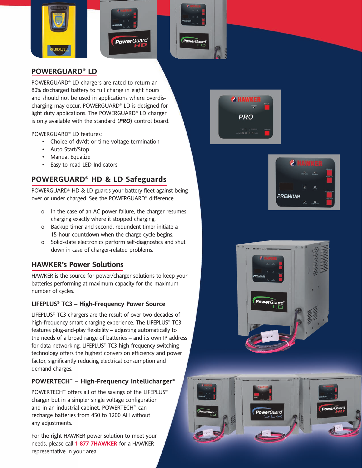





## **POWERGUARD® LD**

POWERGUARD® LD chargers are rated to return an 80% discharged battery to full charge in eight hours and should not be used in applications where overdischarging may occur. POWERGUARD® LD is designed for light duty applications. The POWERGUARD® LD charger is only available with the standard (*PRO*) control board.

POWERGUARD® LD features:

- Choice of dv/dt or time-voltage termination
- Auto Start/Stop
- Manual Equalize
- Easy to read LED Indicators

# **POWERGUARD® HD & LD Safeguards**

POWERGUARD® HD & LD guards your battery fleet against being over or under charged. See the POWERGUARD® difference . . .

- o In the case of an AC power failure, the charger resumes charging exactly where it stopped charging.
- o Backup timer and second, redundent timer initiate a 15-hour countdown when the charge cycle begins.
- o Solid-state electronics perform self-diagnostics and shut down in case of charger-related problems.

# **HAWKER's Power Solutions**

HAWKER is the source for power/charger solutions to keep your batteries performing at maximum capacity for the maximum number of cycles.

## **LIFEPLUS® TC3 – High-Frequency Power Source**

LIFEPLUS® TC3 chargers are the result of over two decades of high-frequency smart charging experience. The LIFEPLUS® TC3 features plug-and-play flexibility – adjusting automatically to the needs of a broad range of batteries – and its own IP address for data networking. LIFEPLUS® TC3 high-frequency switching technology offers the highest conversion efficiency and power factor, significantly reducing electrical consumption and demand charges.

## **POWERTECH™ – High-Frequency Intellicharger®**

POWERTECH<sup>™</sup> offers all of the savings of the LIFEPLUS® charger but in a simpler single voltage configuration and in an industrial cabinet. POWERTECH™ can recharge batteries from 450 to 1200 AH without any adjustments.

For the right HAWKER power solution to meet your needs, please call **1-877-7HAWKER** for a HAWKER representative in your area.